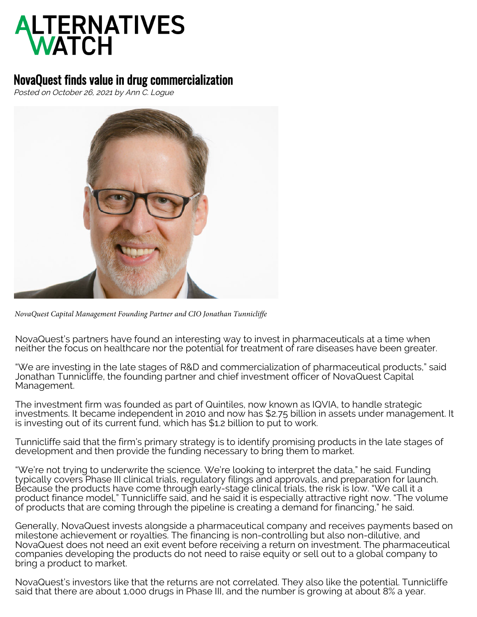## **ALTERNATIVES**<br>WATCH

## NovaQuest finds value in drug commercialization

Posted on October 26, 2021 by Ann C. Logue



*NovaQuest Capital Management Founding Partner and CIO Jonathan Tunnicliffe*

NovaQuest's partners have found an interesting way to invest in pharmaceuticals at a time when neither the focus on healthcare nor the potential for treatment of rare diseases have been greater.

"We are investing in the late stages of R&D and commercialization of pharmaceutical products," said Jonathan Tunnicliffe, the founding partner and chief investment officer of NovaQuest Capital Management.

The investment firm was founded as part of Quintiles, now known as IQVIA, to handle strategic investments. It became independent in 2010 and now has \$2.75 billion in assets under management. It is investing out of its current fund, which has \$1.2 billion to put to work.

Tunnicliffe said that the firm's primary strategy is to identify promising products in the late stages of development and then provide the funding necessary to bring them to market.

"We're not trying to underwrite the science. We're looking to interpret the data," he said. Funding typically covers Phase III clinical trials, regulatory filings and approvals, and preparation for launch. Because the products have come through early-stage clinical trials, the risk is low. "We call it a product finance model," Tunnicliffe said, and he said it is especially attractive right now. "The volume of products that are coming through the pipeline is creating a demand for financing," he said.

Generally, NovaQuest invests alongside a pharmaceutical company and receives payments based on milestone achievement or royalties. The financing is non-controlling but also non-dilutive, and NovaQuest does not need an exit event before receiving a return on investment. The pharmaceutical companies developing the products do not need to raise equity or sell out to a global company to bring a product to market.

NovaQuest's investors like that the returns are not correlated. They also like the potential. Tunnicliffe said that there are about 1,000 drugs in Phase III, and the number is growing at about 8% a year.